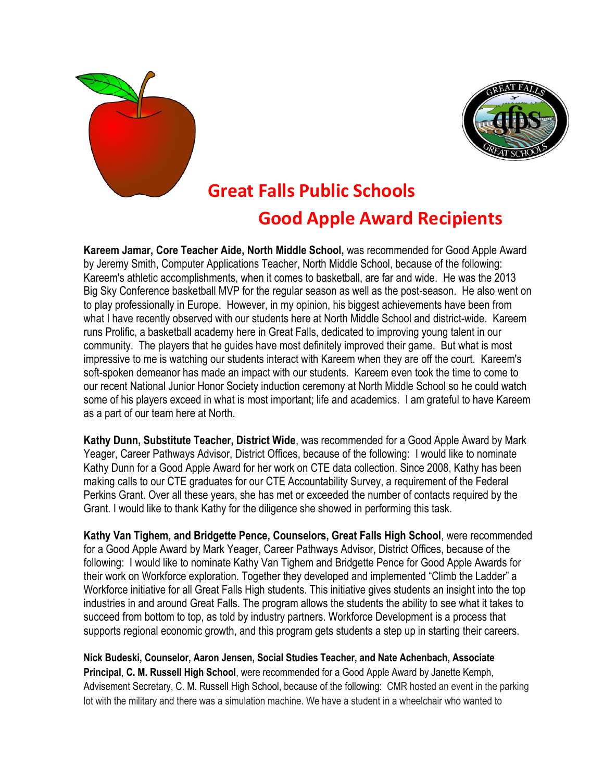



## **Great Falls Public Schools**

## **Good Apple Award Recipients**

**Kareem Jamar, Core Teacher Aide, North Middle School,** was recommended for Good Apple Award by Jeremy Smith, Computer Applications Teacher, North Middle School, because of the following: Kareem's athletic accomplishments, when it comes to basketball, are far and wide. He was the 2013 Big Sky Conference basketball MVP for the regular season as well as the post-season. He also went on to play professionally in Europe. However, in my opinion, his biggest achievements have been from what I have recently observed with our students here at North Middle School and district-wide. Kareem runs Prolific, a basketball academy here in Great Falls, dedicated to improving young talent in our community. The players that he guides have most definitely improved their game. But what is most impressive to me is watching our students interact with Kareem when they are off the court. Kareem's soft-spoken demeanor has made an impact with our students. Kareem even took the time to come to our recent National Junior Honor Society induction ceremony at North Middle School so he could watch some of his players exceed in what is most important; life and academics. I am grateful to have Kareem as a part of our team here at North.

**Kathy Dunn, Substitute Teacher, District Wide**, was recommended for a Good Apple Award by Mark Yeager, Career Pathways Advisor, District Offices, because of the following: I would like to nominate Kathy Dunn for a Good Apple Award for her work on CTE data collection. Since 2008, Kathy has been making calls to our CTE graduates for our CTE Accountability Survey, a requirement of the Federal Perkins Grant. Over all these years, she has met or exceeded the number of contacts required by the Grant. I would like to thank Kathy for the diligence she showed in performing this task.

**Kathy Van Tighem, and Bridgette Pence, Counselors, Great Falls High School**, were recommended for a Good Apple Award by Mark Yeager, Career Pathways Advisor, District Offices, because of the following: I would like to nominate Kathy Van Tighem and Bridgette Pence for Good Apple Awards for their work on Workforce exploration. Together they developed and implemented "Climb the Ladder" a Workforce initiative for all Great Falls High students. This initiative gives students an insight into the top industries in and around Great Falls. The program allows the students the ability to see what it takes to succeed from bottom to top, as told by industry partners. Workforce Development is a process that supports regional economic growth, and this program gets students a step up in starting their careers.

**Nick Budeski, Counselor, Aaron Jensen, Social Studies Teacher, and Nate Achenbach, Associate Principal**, **C. M. Russell High School**, were recommended for a Good Apple Award by Janette Kemph, Advisement Secretary, C. M. Russell High School, because of the following: CMR hosted an event in the parking lot with the military and there was a simulation machine. We have a student in a wheelchair who wanted to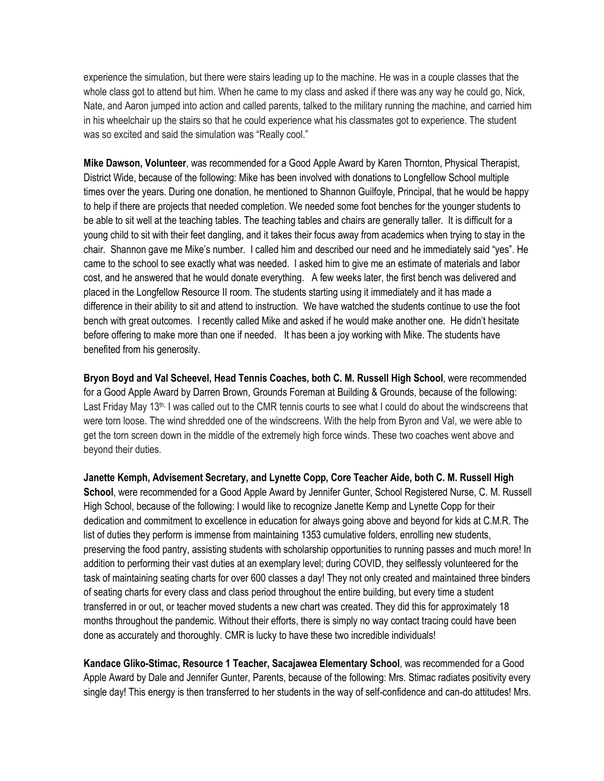experience the simulation, but there were stairs leading up to the machine. He was in a couple classes that the whole class got to attend but him. When he came to my class and asked if there was any way he could go, Nick, Nate, and Aaron jumped into action and called parents, talked to the military running the machine, and carried him in his wheelchair up the stairs so that he could experience what his classmates got to experience. The student was so excited and said the simulation was "Really cool."

**Mike Dawson, Volunteer**, was recommended for a Good Apple Award by Karen Thornton, Physical Therapist, District Wide, because of the following: Mike has been involved with donations to Longfellow School multiple times over the years. During one donation, he mentioned to Shannon Guilfoyle, Principal, that he would be happy to help if there are projects that needed completion. We needed some foot benches for the younger students to be able to sit well at the teaching tables. The teaching tables and chairs are generally taller. It is difficult for a young child to sit with their feet dangling, and it takes their focus away from academics when trying to stay in the chair. Shannon gave me Mike's number. I called him and described our need and he immediately said "yes". He came to the school to see exactly what was needed. I asked him to give me an estimate of materials and labor cost, and he answered that he would donate everything. A few weeks later, the first bench was delivered and placed in the Longfellow Resource II room. The students starting using it immediately and it has made a difference in their ability to sit and attend to instruction. We have watched the students continue to use the foot bench with great outcomes. I recently called Mike and asked if he would make another one. He didn't hesitate before offering to make more than one if needed. It has been a joy working with Mike. The students have benefited from his generosity.

**Bryon Boyd and Val Scheevel, Head Tennis Coaches, both C. M. Russell High School**, were recommended for a Good Apple Award by Darren Brown, Grounds Foreman at Building & Grounds, because of the following: Last Friday May 13<sup>th,</sup> I was called out to the CMR tennis courts to see what I could do about the windscreens that were torn loose. The wind shredded one of the windscreens. With the help from Byron and Val, we were able to get the torn screen down in the middle of the extremely high force winds. These two coaches went above and beyond their duties.

**Janette Kemph, Advisement Secretary, and Lynette Copp, Core Teacher Aide, both C. M. Russell High School**, were recommended for a Good Apple Award by Jennifer Gunter, School Registered Nurse, C. M. Russell High School, because of the following: I would like to recognize Janette Kemp and Lynette Copp for their dedication and commitment to excellence in education for always going above and beyond for kids at C.M.R. The list of duties they perform is immense from maintaining 1353 cumulative folders, enrolling new students, preserving the food pantry, assisting students with scholarship opportunities to running passes and much more! In addition to performing their vast duties at an exemplary level; during COVID, they selflessly volunteered for the task of maintaining seating charts for over 600 classes a day! They not only created and maintained three binders of seating charts for every class and class period throughout the entire building, but every time a student transferred in or out, or teacher moved students a new chart was created. They did this for approximately 18 months throughout the pandemic. Without their efforts, there is simply no way contact tracing could have been done as accurately and thoroughly. CMR is lucky to have these two incredible individuals!

**Kandace Gliko-Stimac, Resource 1 Teacher, Sacajawea Elementary School**, was recommended for a Good Apple Award by Dale and Jennifer Gunter, Parents, because of the following: Mrs. Stimac radiates positivity every single day! This energy is then transferred to her students in the way of self-confidence and can-do attitudes! Mrs.